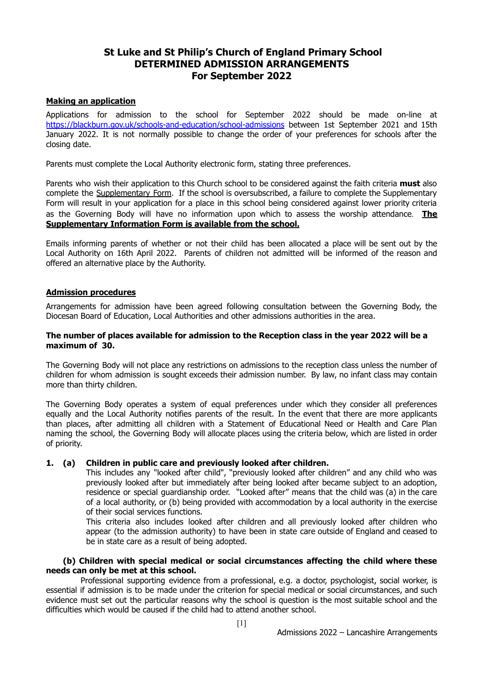## **St Luke and St Philip's Church of England Primary School DETERMINED ADMISSION ARRANGEMENTS For September 2022**

## **Making an application**

Applications for admission to the school for September 2022 should be made on-line at <https://blackburn.gov.uk/schools-and-education/school-admissions> between 1st September 2021 and 15th January 2022. It is not normally possible to change the order of your preferences for schools after the closing date.

Parents must complete the Local Authority electronic form, stating three preferences.

Parents who wish their application to this Church school to be considered against the faith criteria **must** also complete the Supplementary Form. If the school is oversubscribed, a failure to complete the Supplementary Form will result in your application for a place in this school being considered against lower priority criteria as the Governing Body will have no information upon which to assess the worship attendance. **The Supplementary Information Form is available from the school.**

Emails informing parents of whether or not their child has been allocated a place will be sent out by the Local Authority on 16th April 2022. Parents of children not admitted will be informed of the reason and offered an alternative place by the Authority.

## **Admission procedures**

Arrangements for admission have been agreed following consultation between the Governing Body, the Diocesan Board of Education, Local Authorities and other admissions authorities in the area.

#### **The number of places available for admission to the Reception class in the year 2022 will be a maximum of 30.**

The Governing Body will not place any restrictions on admissions to the reception class unless the number of children for whom admission is sought exceeds their admission number. By law, no infant class may contain more than thirty children.

The Governing Body operates a system of equal preferences under which they consider all preferences equally and the Local Authority notifies parents of the result. In the event that there are more applicants than places, after admitting all children with a Statement of Educational Need or Health and Care Plan naming the school, the Governing Body will allocate places using the criteria below, which are listed in order of priority.

## **1. (a) Children in public care and previously looked after children.**

This includes any "looked after child", "previously looked after children" and any child who was previously looked after but immediately after being looked after became subject to an adoption, residence or special guardianship order. "Looked after" means that the child was (a) in the care of a local authority, or (b) being provided with accommodation by a local authority in the exercise of their social services functions.

This criteria also includes looked after children and all previously looked after children who appear (to the admission authority) to have been in state care outside of England and ceased to be in state care as a result of being adopted.

## **(b) Children with special medical or social circumstances affecting the child where these needs can only be met at this school.**

Professional supporting evidence from a professional, e.g. a doctor, psychologist, social worker, is essential if admission is to be made under the criterion for special medical or social circumstances, and such evidence must set out the particular reasons why the school is question is the most suitable school and the difficulties which would be caused if the child had to attend another school.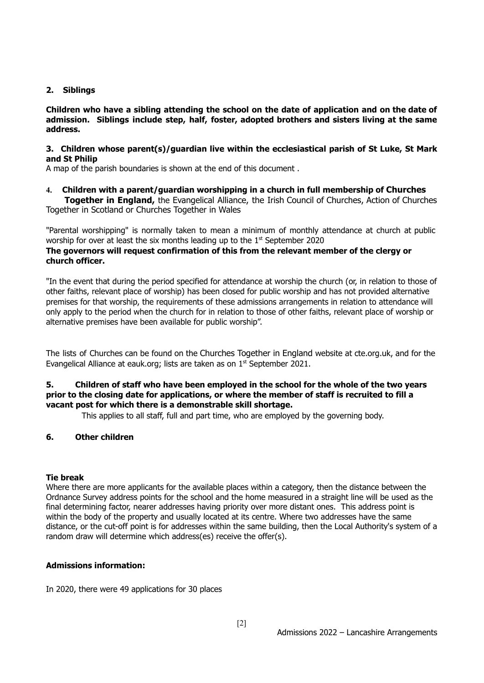## **2. Siblings**

**Children who have a sibling attending the school on the date of application and on the date of admission. Siblings include step, half, foster, adopted brothers and sisters living at the same address.**

## **3. Children whose parent(s)/guardian live within the ecclesiastical parish of St Luke, St Mark and St Philip**

A map of the parish boundaries is shown at the end of this document .

**4. Children with a parent/guardian worshipping in a church in full membership of Churches Together in England,** the Evangelical Alliance, the Irish Council of Churches, Action of Churches

Together in Scotland or Churches Together in Wales

"Parental worshipping" is normally taken to mean a minimum of monthly attendance at church at public worship for over at least the six months leading up to the  $1<sup>st</sup>$  September 2020

## **The governors will request confirmation of this from the relevant member of the clergy or church officer.**

"In the event that during the period specified for attendance at worship the church (or, in relation to those of other faiths, relevant place of worship) has been closed for public worship and has not provided alternative premises for that worship, the requirements of these admissions arrangements in relation to attendance will only apply to the period when the church for in relation to those of other faiths, relevant place of worship or alternative premises have been available for public worship".

The lists of Churches can be found on the Churches Together in England website at cte.org.uk, and for the Evangelical Alliance at eauk.org; lists are taken as on  $1<sup>st</sup>$  September 2021.

## **5. Children of staff who have been employed in the school for the whole of the two years prior to the closing date for applications, or where the member of staff is recruited to fill a vacant post for which there is a demonstrable skill shortage.**

This applies to all staff, full and part time, who are employed by the governing body.

## **6. Other children**

## **Tie break**

Where there are more applicants for the available places within a category, then the distance between the Ordnance Survey address points for the school and the home measured in a straight line will be used as the final determining factor, nearer addresses having priority over more distant ones. This address point is within the body of the property and usually located at its centre. Where two addresses have the same distance, or the cut-off point is for addresses within the same building, then the Local Authority's system of a random draw will determine which address(es) receive the offer(s).

## **Admissions information:**

In 2020, there were 49 applications for 30 places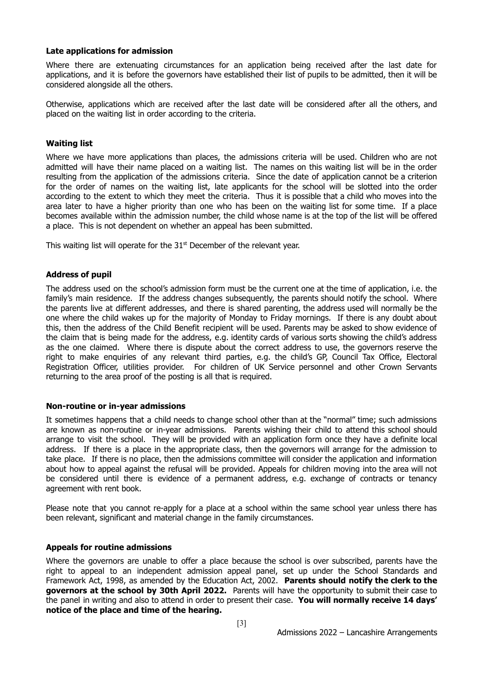### **Late applications for admission**

Where there are extenuating circumstances for an application being received after the last date for applications, and it is before the governors have established their list of pupils to be admitted, then it will be considered alongside all the others.

Otherwise, applications which are received after the last date will be considered after all the others, and placed on the waiting list in order according to the criteria.

### **Waiting list**

Where we have more applications than places, the admissions criteria will be used. Children who are not admitted will have their name placed on a waiting list. The names on this waiting list will be in the order resulting from the application of the admissions criteria. Since the date of application cannot be a criterion for the order of names on the waiting list, late applicants for the school will be slotted into the order according to the extent to which they meet the criteria. Thus it is possible that a child who moves into the area later to have a higher priority than one who has been on the waiting list for some time. If a place becomes available within the admission number, the child whose name is at the top of the list will be offered a place. This is not dependent on whether an appeal has been submitted.

This waiting list will operate for the  $31<sup>st</sup>$  December of the relevant year.

#### **Address of pupil**

The address used on the school's admission form must be the current one at the time of application, i.e. the family's main residence. If the address changes subsequently, the parents should notify the school. Where the parents live at different addresses, and there is shared parenting, the address used will normally be the one where the child wakes up for the majority of Monday to Friday mornings. If there is any doubt about this, then the address of the Child Benefit recipient will be used. Parents may be asked to show evidence of the claim that is being made for the address, e.g. identity cards of various sorts showing the child's address as the one claimed. Where there is dispute about the correct address to use, the governors reserve the right to make enquiries of any relevant third parties, e.g. the child's GP, Council Tax Office, Electoral Registration Officer, utilities provider. For children of UK Service personnel and other Crown Servants returning to the area proof of the posting is all that is required.

#### **Non-routine or in-year admissions**

It sometimes happens that a child needs to change school other than at the "normal" time; such admissions are known as non-routine or in-year admissions. Parents wishing their child to attend this school should arrange to visit the school. They will be provided with an application form once they have a definite local address. If there is a place in the appropriate class, then the governors will arrange for the admission to take place. If there is no place, then the admissions committee will consider the application and information about how to appeal against the refusal will be provided. Appeals for children moving into the area will not be considered until there is evidence of a permanent address, e.g. exchange of contracts or tenancy agreement with rent book.

Please note that you cannot re-apply for a place at a school within the same school year unless there has been relevant, significant and material change in the family circumstances.

#### **Appeals for routine admissions**

Where the governors are unable to offer a place because the school is over subscribed, parents have the right to appeal to an independent admission appeal panel, set up under the School Standards and Framework Act, 1998, as amended by the Education Act, 2002. **Parents should notify the clerk to the governors at the school by 30th April 2022.** Parents will have the opportunity to submit their case to the panel in writing and also to attend in order to present their case. **You will normally receive 14 days' notice of the place and time of the hearing.**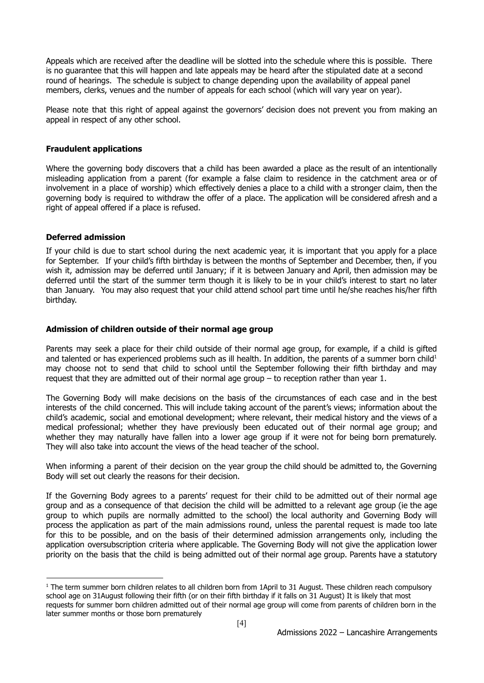Appeals which are received after the deadline will be slotted into the schedule where this is possible. There is no guarantee that this will happen and late appeals may be heard after the stipulated date at a second round of hearings. The schedule is subject to change depending upon the availability of appeal panel members, clerks, venues and the number of appeals for each school (which will vary year on year).

Please note that this right of appeal against the governors' decision does not prevent you from making an appeal in respect of any other school.

### **Fraudulent applications**

Where the governing body discovers that a child has been awarded a place as the result of an intentionally misleading application from a parent (for example a false claim to residence in the catchment area or of involvement in a place of worship) which effectively denies a place to a child with a stronger claim, then the governing body is required to withdraw the offer of a place. The application will be considered afresh and a right of appeal offered if a place is refused.

#### **Deferred admission**

If your child is due to start school during the next academic year, it is important that you apply for a place for September. If your child's fifth birthday is between the months of September and December, then, if you wish it, admission may be deferred until January; if it is between January and April, then admission may be deferred until the start of the summer term though it is likely to be in your child's interest to start no later than January. You may also request that your child attend school part time until he/she reaches his/her fifth birthday.

#### **Admission of children outside of their normal age group**

Parents may seek a place for their child outside of their normal age group, for example, if a child is gifted and talented or has experienced problems such as ill health. In addition, the parents of a summer born child<sup>1</sup> may choose not to send that child to school until the September following their fifth birthday and may request that they are admitted out of their normal age group – to reception rather than year 1.

The Governing Body will make decisions on the basis of the circumstances of each case and in the best interests of the child concerned. This will include taking account of the parent's views; information about the child's academic, social and emotional development; where relevant, their medical history and the views of a medical professional; whether they have previously been educated out of their normal age group; and whether they may naturally have fallen into a lower age group if it were not for being born prematurely. They will also take into account the views of the head teacher of the school.

When informing a parent of their decision on the year group the child should be admitted to, the Governing Body will set out clearly the reasons for their decision.

If the Governing Body agrees to a parents' request for their child to be admitted out of their normal age group and as a consequence of that decision the child will be admitted to a relevant age group (ie the age group to which pupils are normally admitted to the school) the local authority and Governing Body will process the application as part of the main admissions round, unless the parental request is made too late for this to be possible, and on the basis of their determined admission arrangements only, including the application oversubscription criteria where applicable. The Governing Body will not give the application lower priority on the basis that the child is being admitted out of their normal age group. Parents have a statutory

 $1$  The term summer born children relates to all children born from 1April to 31 August. These children reach compulsory school age on 31August following their fifth (or on their fifth birthday if it falls on 31 August) It is likely that most requests for summer born children admitted out of their normal age group will come from parents of children born in the later summer months or those born prematurely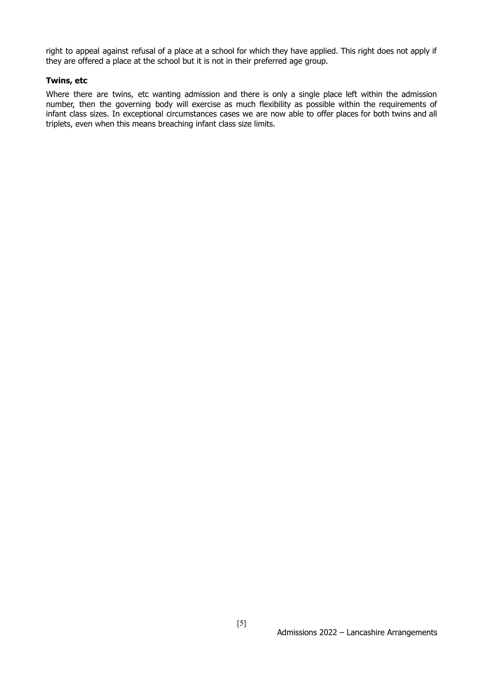right to appeal against refusal of a place at a school for which they have applied. This right does not apply if they are offered a place at the school but it is not in their preferred age group.

#### **Twins, etc**

Where there are twins, etc wanting admission and there is only a single place left within the admission number, then the governing body will exercise as much flexibility as possible within the requirements of infant class sizes. In exceptional circumstances cases we are now able to offer places for both twins and all triplets, even when this means breaching infant class size limits.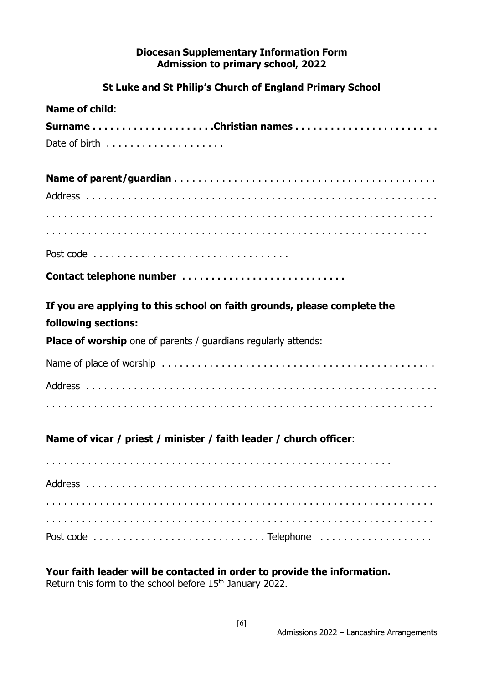# **Diocesan Supplementary Information Form Admission to primary school, 2022**

# **St Luke and St Philip's Church of England Primary School**

| <b>Name of child:</b>                                                    |
|--------------------------------------------------------------------------|
| SurnameChristian names                                                   |
|                                                                          |
|                                                                          |
|                                                                          |
|                                                                          |
|                                                                          |
|                                                                          |
| Contact telephone number                                                 |
| If you are applying to this school on faith grounds, please complete the |
| following sections:                                                      |
| <b>Place of worship</b> one of parents / guardians regularly attends:    |
|                                                                          |
|                                                                          |
|                                                                          |
| Name of vicar / priest / minister / faith leader / church officer:       |
|                                                                          |
|                                                                          |
|                                                                          |
|                                                                          |
|                                                                          |

# **Your faith leader will be contacted in order to provide the information.**

Return this form to the school before 15<sup>th</sup> January 2022.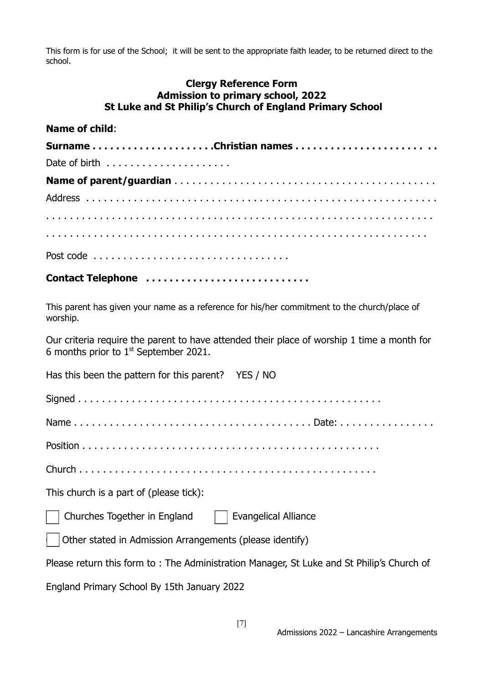This form is for use of the School; it will be sent to the appropriate faith leader, to be returned direct to the school.

## **Clergy Reference Form Admission to primary school, 2022 St Luke and St Philip's Church of England Primary School**

## **Name of child**:

| SurnameChristian names |  |  |
|------------------------|--|--|
|                        |  |  |
|                        |  |  |
|                        |  |  |
|                        |  |  |
|                        |  |  |
|                        |  |  |

# **Contact Telephone . . . . . . . . . . . . . . . . . . . . . . . . . . . .**

This parent has given your name as a reference for his/her commitment to the church/place of worship.

Our criteria require the parent to have attended their place of worship 1 time a month for 6 months prior to  $1<sup>st</sup>$  September 2021.

| Has this been the pattern for this parent? YES / NO                                       |
|-------------------------------------------------------------------------------------------|
|                                                                                           |
|                                                                                           |
|                                                                                           |
|                                                                                           |
| This church is a part of (please tick):                                                   |
| Churches Together in England   Evangelical Alliance                                       |
| Other stated in Admission Arrangements (please identify)                                  |
| Please return this form to: The Administration Manager, St Luke and St Philip's Church of |
| England Primary School By 15th January 2022                                               |